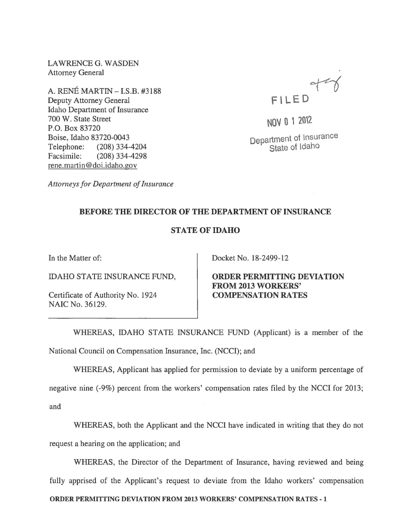LAWRENCEG. WASDEN Attorney General

A. RENE MARTIN -I.S.B. #3188 Deputy Attorney General Idaho Department of Insurance 700 W. State Street P.O. Box 83720 Boise, Idaho 83720-0043 Telephone: (208) 334-4204 Facsimile: (208) 334-4298 rene. martin @doi.idaho.gov



NOV 0 1 2012 Department of Insurance State of Idaho

*Attorneys for Department of Insurance* 

## BEFORE THE DIRECTOR OF THE DEPARTMENT OF INSURANCE

## STATE OF IDAHO

In the Matter of:

IDAHO STATE INSURANCE FUND,

Certificate of Authority No. 1924 NAIC No. 36129.

Docket No. 18-2499-12

ORDER PERMITTING DEVIATION FROM 2013 WORKERS' COMPENSATION RATES

WHEREAS, IDAHO STATE INSURANCE FUND (Applicant) is a member of the National Council on Compensation Insurance, Inc. (NCCI); and

WHEREAS, Applicant has applied for permission to deviate by a uniform percentage of

negative nine (-9%) percent from the workers' compensation rates filed by the NCCI for 2013; and

WHEREAS, both the Applicant and the NCCI have indicated in writing that they do not request a hearing on the application; and

WHEREAS, the Director of the Department of Insurance, having reviewed and being fully apprised of the Applicant's request to deviate from the Idaho workers' compensation ORDER PERMITTING DEVIATION FROM 2013 WORKERS' COMPENSATION RATES - 1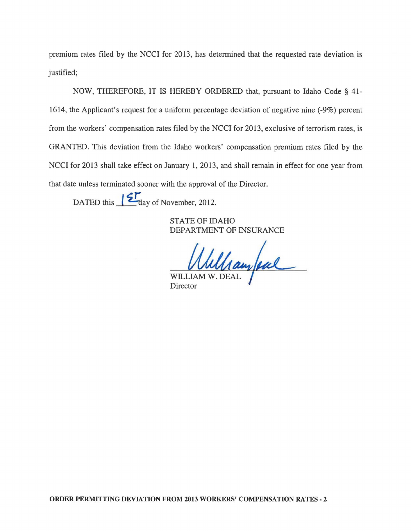premium rates filed by the NCCI for 2013, has determined that the requested rate deviation is justified;

NOW, THEREFORE, IT IS HEREBY ORDERED that, pursuant to Idaho Code § 41- 1614, the Applicant's request for a uniform percentage deviation of negative nine (-9%) percent from the workers' compensation rates filed by the NCCI for 2013, exclusive of terrorism rates, is GRANTED. This deviation from the Idaho workers' compensation premium rates filed by the NCCI for 2013 shall take effect on January 1, 2013, and shall remain in effect for one year from that date unless terminated sooner with the approval of the Director.

DATED this  $\mathcal{L}_{\text{day of November, 2012.}}$ 

STATE OF IDAHO DEPARTMENT OF INSURANCE

Whelham feal